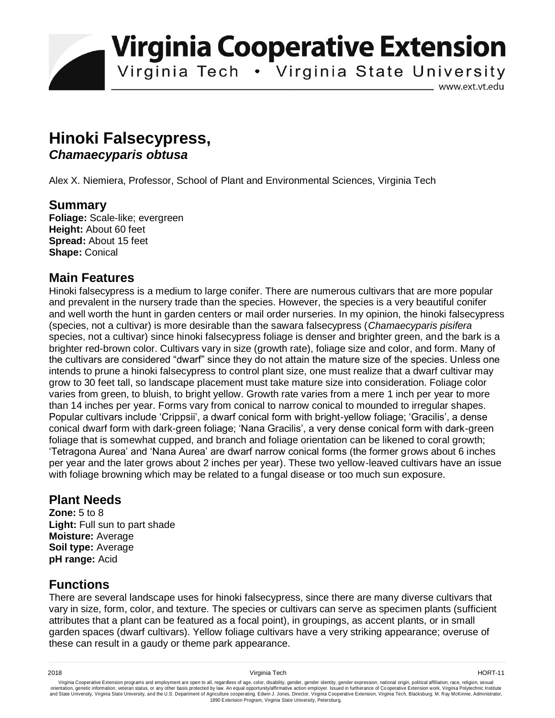**Virginia Cooperative Extension** 

Virginia Tech . Virginia State University

www.ext.vt.edu

## **Hinoki Falsecypress,**  *Chamaecyparis obtusa*

Alex X. Niemiera, Professor, School of Plant and Environmental Sciences, Virginia Tech

#### **Summary**

**Foliage:** Scale-like; evergreen **Height:** About 60 feet **Spread:** About 15 feet **Shape:** Conical

#### **Main Features**

Hinoki falsecypress is a medium to large conifer. There are numerous cultivars that are more popular and prevalent in the nursery trade than the species. However, the species is a very beautiful conifer and well worth the hunt in garden centers or mail order nurseries. In my opinion, the hinoki falsecypress (species, not a cultivar) is more desirable than the sawara falsecypress (*Chamaecyparis pisifera*  species, not a cultivar) since hinoki falsecypress foliage is denser and brighter green, and the bark is a brighter red-brown color. Cultivars vary in size (growth rate), foliage size and color, and form. Many of the cultivars are considered "dwarf" since they do not attain the mature size of the species. Unless one intends to prune a hinoki falsecypress to control plant size, one must realize that a dwarf cultivar may grow to 30 feet tall, so landscape placement must take mature size into consideration. Foliage color varies from green, to bluish, to bright yellow. Growth rate varies from a mere 1 inch per year to more than 14 inches per year. Forms vary from conical to narrow conical to mounded to irregular shapes. Popular cultivars include 'Crippsii', a dwarf conical form with bright-yellow foliage; 'Gracilis', a dense conical dwarf form with dark-green foliage; 'Nana Gracilis', a very dense conical form with dark-green foliage that is somewhat cupped, and branch and foliage orientation can be likened to coral growth; 'Tetragona Aurea' and 'Nana Aurea' are dwarf narrow conical forms (the former grows about 6 inches per year and the later grows about 2 inches per year). These two yellow-leaved cultivars have an issue with foliage browning which may be related to a fungal disease or too much sun exposure.

### **Plant Needs**

**Zone:** 5 to 8 **Light:** Full sun to part shade **Moisture:** Average **Soil type:** Average **pH range:** Acid

### **Functions**

There are several landscape uses for hinoki falsecypress, since there are many diverse cultivars that vary in size, form, color, and texture. The species or cultivars can serve as specimen plants (sufficient attributes that a plant can be featured as a focal point), in groupings, as accent plants, or in small garden spaces (dwarf cultivars). Yellow foliage cultivars have a very striking appearance; overuse of these can result in a gaudy or theme park appearance.

2018 Virginia Tech HORT-11

Virginia Cooperative Extension programs and employment are open to all, regardless of age, color, disability, gender, gender identity, gender expression, national origin, political affiliation, race, religion, sexual وrie 1890 Extension Program, Virginia State University, Petersburg.